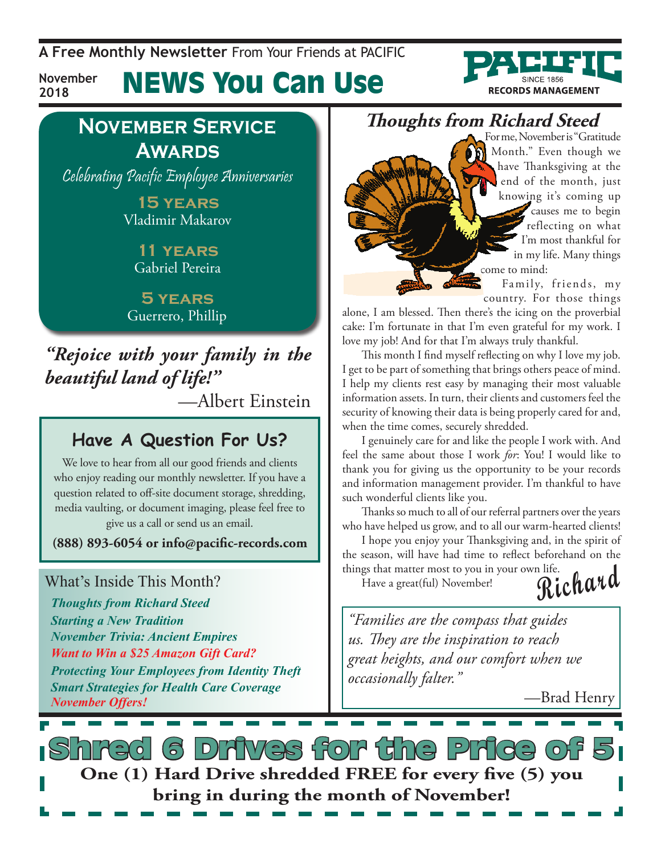**A Free Monthly Newsletter** From Your Friends at Pacific

### News You Can Use **November**



# **November Service Awards**

**2018**

Celebrating Pacific Employee Anniversaries

**15 years** Vladimir Makarov

> **11 years** Gabriel Pereira

**5 years** Guerrero, Phillip

*"Rejoice with your family in the beautiful land of life!"*

—Albert Einstein

### **Have A Question For Us?**

We love to hear from all our good friends and clients who enjoy reading our monthly newsletter. If you have a question related to off-site document storage, shredding, media vaulting, or document imaging, please feel free to give us a call or send us an email.

**(888) 893-6054 or info@pacific-records.com**

### What's Inside This Month?

*Thoughts from Richard Steed Starting a New Tradition November Trivia: Ancient Empires Want to Win a \$25 Amazon Gift Card? Protecting Your Employees from Identity Theft Smart Strategies for Health Care Coverage November Offers!*

**Thoughts from Richard Steed**

For me, November is "Gratitude Month." Even though we have Thanksgiving at the end of the month, just knowing it's coming up causes me to begin reflecting on what I'm most thankful for in my life. Many things come to mind:

Family, friends, my country. For those things

alone, I am blessed. Then there's the icing on the proverbial cake: I'm fortunate in that I'm even grateful for my work. I love my job! And for that I'm always truly thankful.

This month I find myself reflecting on why I love my job. I get to be part of something that brings others peace of mind. I help my clients rest easy by managing their most valuable information assets. In turn, their clients and customers feel the security of knowing their data is being properly cared for and, when the time comes, securely shredded.

I genuinely care for and like the people I work with. And feel the same about those I work *for*: You! I would like to thank you for giving us the opportunity to be your records and information management provider. I'm thankful to have such wonderful clients like you.

Thanks so much to all of our referral partners over the years who have helped us grow, and to all our warm-hearted clients!

**Richard** I hope you enjoy your Thanksgiving and, in the spirit of the season, will have had time to reflect beforehand on the things that matter most to you in your own life.

Have a great(ful) November!

*"Families are the compass that guides us. They are the inspiration to reach great heights, and our comfort when we occasionally falter."* 

—Brad Henry

s Drives for the Price o **One (1) Hard Drive shredded FREE for every five (5) you bring in during the month of November!**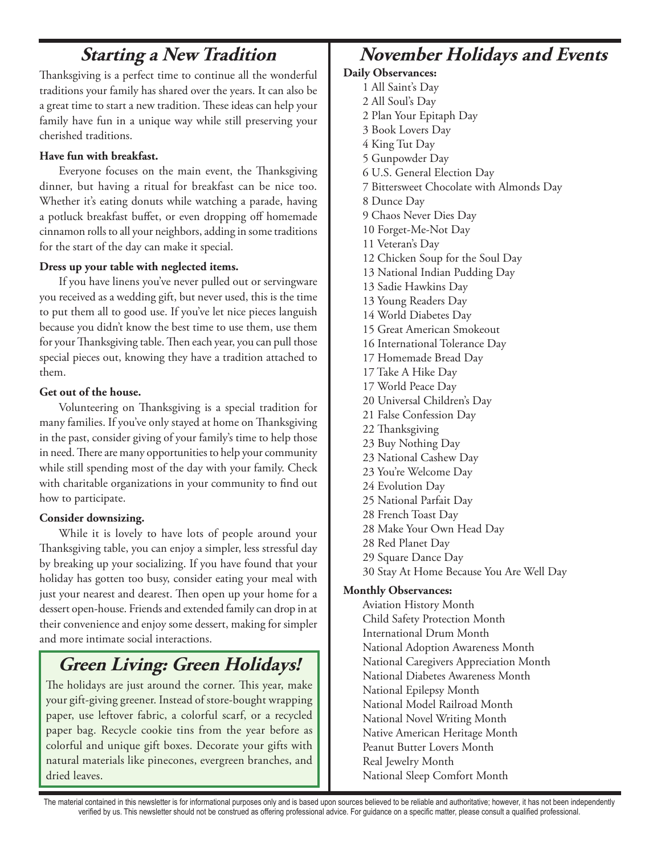# **Starting a New Tradition**

Thanksgiving is a perfect time to continue all the wonderful traditions your family has shared over the years. It can also be a great time to start a new tradition. These ideas can help your family have fun in a unique way while still preserving your cherished traditions.

### **Have fun with breakfast.**

Everyone focuses on the main event, the Thanksgiving dinner, but having a ritual for breakfast can be nice too. Whether it's eating donuts while watching a parade, having a potluck breakfast buffet, or even dropping off homemade cinnamon rolls to all your neighbors, adding in some traditions for the start of the day can make it special.

### **Dress up your table with neglected items.**

If you have linens you've never pulled out or servingware you received as a wedding gift, but never used, this is the time to put them all to good use. If you've let nice pieces languish because you didn't know the best time to use them, use them for your Thanksgiving table. Then each year, you can pull those special pieces out, knowing they have a tradition attached to them.

### **Get out of the house.**

Volunteering on Thanksgiving is a special tradition for many families. If you've only stayed at home on Thanksgiving in the past, consider giving of your family's time to help those in need. There are many opportunities to help your community while still spending most of the day with your family. Check with charitable organizations in your community to find out how to participate.

### **Consider downsizing.**

While it is lovely to have lots of people around your Thanksgiving table, you can enjoy a simpler, less stressful day by breaking up your socializing. If you have found that your holiday has gotten too busy, consider eating your meal with just your nearest and dearest. Then open up your home for a dessert open-house. Friends and extended family can drop in at their convenience and enjoy some dessert, making for simpler and more intimate social interactions.

# **Green Living: Green Holidays!**

The holidays are just around the corner. This year, make your gift-giving greener. Instead of store-bought wrapping paper, use leftover fabric, a colorful scarf, or a recycled paper bag. Recycle cookie tins from the year before as colorful and unique gift boxes. Decorate your gifts with natural materials like pinecones, evergreen branches, and dried leaves.

# **November Holidays and Events**

### **Daily Observances:**

1 All Saint's Day 2 All Soul's Day 2 Plan Your Epitaph Day 3 Book Lovers Day 4 King Tut Day 5 Gunpowder Day 6 U.S. General Election Day 7 Bittersweet Chocolate with Almonds Day 8 Dunce Day 9 Chaos Never Dies Day 10 Forget-Me-Not Day 11 Veteran's Day 12 Chicken Soup for the Soul Day 13 National Indian Pudding Day 13 Sadie Hawkins Day 13 Young Readers Day 14 World Diabetes Day 15 Great American Smokeout 16 International Tolerance Day 17 Homemade Bread Day 17 Take A Hike Day 17 World Peace Day 20 Universal Children's Day 21 False Confession Day 22 Thanksgiving 23 Buy Nothing Day 23 National Cashew Day 23 You're Welcome Day 24 Evolution Day 25 National Parfait Day 28 French Toast Day 28 Make Your Own Head Day 28 Red Planet Day 29 Square Dance Day 30 Stay At Home Because You Are Well Day **Monthly Observances:** Aviation History Month

Child Safety Protection Month International Drum Month National Adoption Awareness Month National Caregivers Appreciation Month National Diabetes Awareness Month National Epilepsy Month National Model Railroad Month National Novel Writing Month Native American Heritage Month Peanut Butter Lovers Month Real Jewelry Month National Sleep Comfort Month

The material contained in this newsletter is for informational purposes only and is based upon sources believed to be reliable and authoritative; however, it has not been independently verified by us. This newsletter should not be construed as offering professional advice. For guidance on a specific matter, please consult a qualified professional.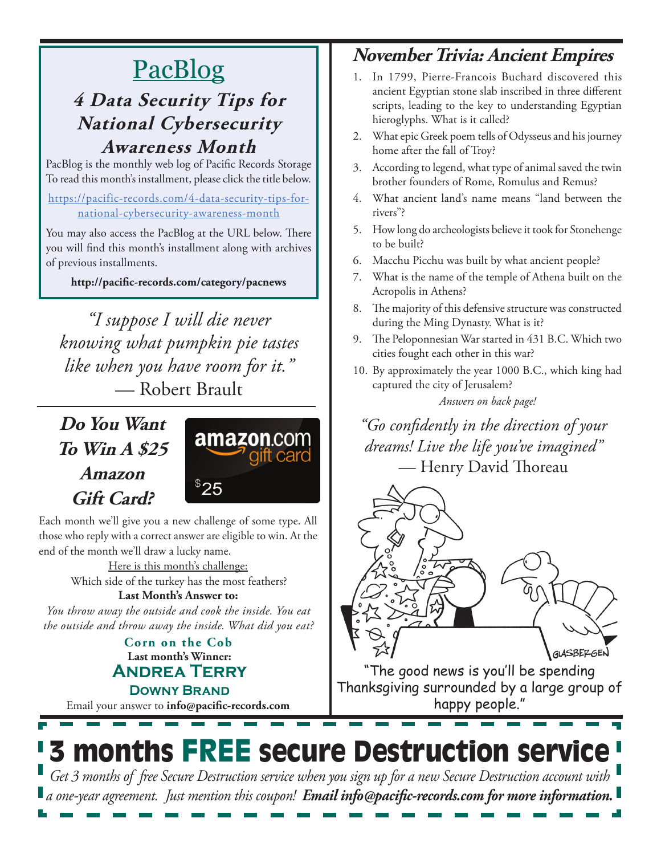# PacBlog

### **4 Data Security Tips for National Cybersecurity Awareness Month**

PacBlog is the monthly web log of Pacific Records Storage To read this month's installment, please click the title below.

[https://pacific-records.com/4-data-security-tips-for](https://pacific-records.com/4-data-security-tips-for-national-cybersecurity-awareness-month)[national-cybersecurity-awareness-month](https://pacific-records.com/4-data-security-tips-for-national-cybersecurity-awareness-month)

You may also access the PacBlog at the URL below. There you will find this month's installment along with archives of previous installments.

**http://pacific-records.com/category/pacnews**

*"I suppose I will die never knowing what pumpkin pie tastes like when you have room for it."*  — Robert Brault

# **Do You Want To Win A \$25 Amazon Gift Card?**



Each month we'll give you a new challenge of some type. All those who reply with a correct answer are eligible to win. At the end of the month we'll draw a lucky name.

> Here is this month's challenge: Which side of the turkey has the most feathers?

**Last Month's Answer to:**  *You throw away the outside and cook the inside. You eat the outside and throw away the inside. What did you eat?*

### **Last month's Winner: Andrea Terry Downy Brand Corn on the Cob**

Email your answer to **info@pacific-records.com**

## **November Trivia: Ancient Empires**

- 1. In 1799, Pierre-Francois Buchard discovered this ancient Egyptian stone slab inscribed in three different scripts, leading to the key to understanding Egyptian hieroglyphs. What is it called?
- 2. What epic Greek poem tells of Odysseus and his journey home after the fall of Troy?
- 3. According to legend, what type of animal saved the twin brother founders of Rome, Romulus and Remus?
- 4. What ancient land's name means "land between the rivers"?
- 5. How long do archeologists believe it took for Stonehenge to be built?
- 6. Macchu Picchu was built by what ancient people?
- 7. What is the name of the temple of Athena built on the Acropolis in Athens?
- 8. The majority of this defensive structure was constructed during the Ming Dynasty. What is it?
- 9. The Peloponnesian War started in 431 B.C. Which two cities fought each other in this war?
- 10. By approximately the year 1000 B.C., which king had captured the city of Jerusalem? *Answers on back page!*

*"Go confidently in the direction of your dreams! Live the life you've imagined"*  — Henry David Thoreau



"The good news is you'll be spending Thanksgiving surrounded by a large group of happy people."

# 3 months FREE secure Destruction service *Get 3 months of free Secure Destruction service when you sign up for a new Secure Destruction account with*

*a one-year agreement. Just mention this coupon! Email info@pacific-records.com for more information.*